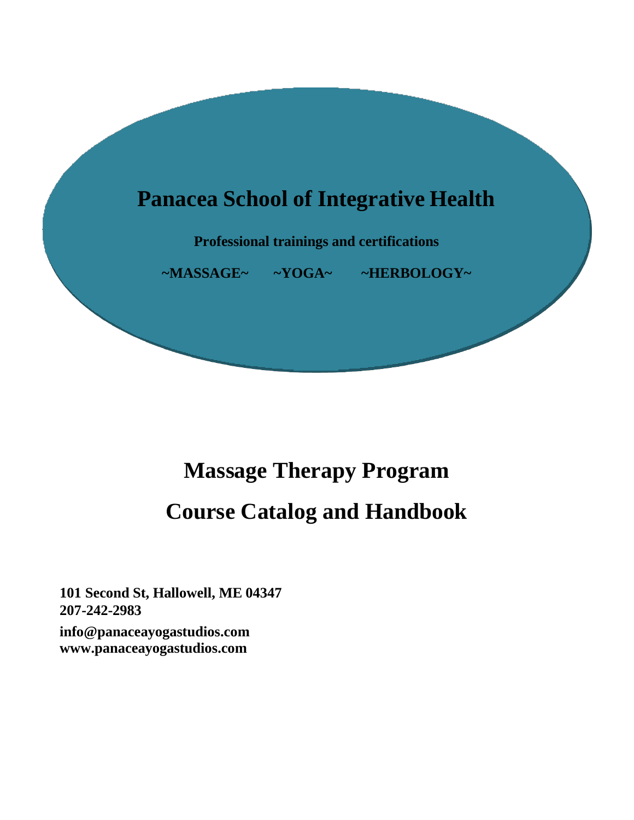

# **Massage Therapy Program Course Catalog and Handbook**

**101 Second St, Hallowell, ME 04347 207-242-2983 [info@panaceayogastudios.com](mailto:info@panaceayogastudios.com) [www.panaceayogastudios.com](http://www.panaceayogastudios.com/)**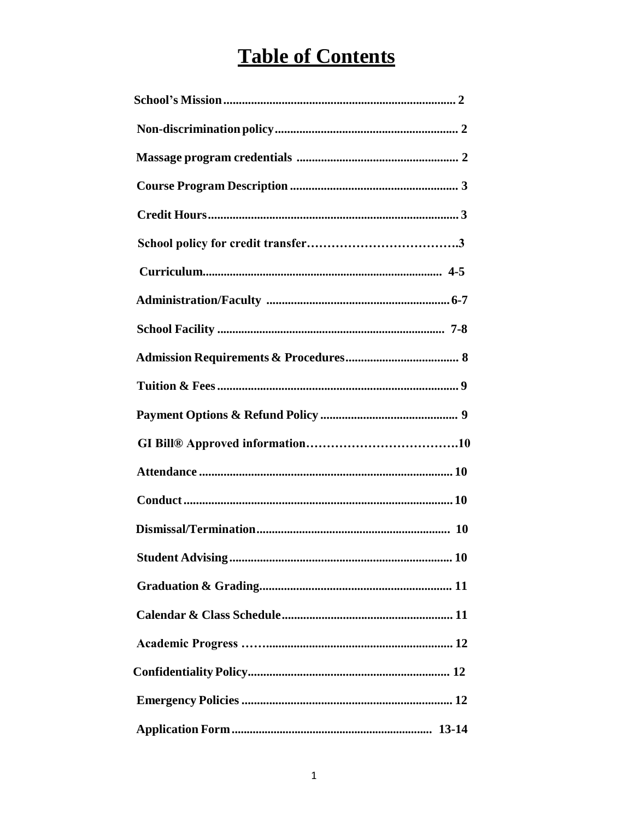## **Table of Contents**

| 10 |
|----|
|    |
|    |
|    |
|    |
|    |
|    |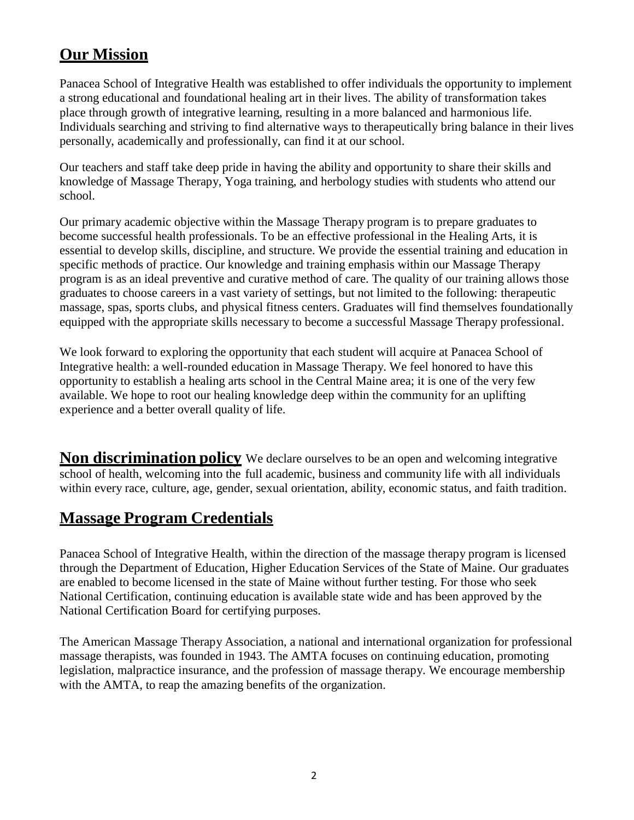## **Our Mission**

Panacea School of Integrative Health was established to offer individuals the opportunity to implement a strong educational and foundational healing art in their lives. The ability of transformation takes place through growth of integrative learning, resulting in a more balanced and harmonious life. Individuals searching and striving to find alternative ways to therapeutically bring balance in their lives personally, academically and professionally, can find it at our school.

Our teachers and staff take deep pride in having the ability and opportunity to share their skills and knowledge of Massage Therapy, Yoga training, and herbology studies with students who attend our school.

Our primary academic objective within the Massage Therapy program is to prepare graduates to become successful health professionals. To be an effective professional in the Healing Arts, it is essential to develop skills, discipline, and structure. We provide the essential training and education in specific methods of practice. Our knowledge and training emphasis within our Massage Therapy program is as an ideal preventive and curative method of care. The quality of our training allows those graduates to choose careers in a vast variety of settings, but not limited to the following: therapeutic massage, spas, sports clubs, and physical fitness centers. Graduates will find themselves foundationally equipped with the appropriate skills necessary to become a successful Massage Therapy professional.

We look forward to exploring the opportunity that each student will acquire at Panacea School of Integrative health: a well-rounded education in Massage Therapy. We feel honored to have this opportunity to establish a healing arts school in the Central Maine area; it is one of the very few available. We hope to root our healing knowledge deep within the community for an uplifting experience and a better overall quality of life.

**Non discrimination policy** We declare ourselves to be an open and welcoming integrative school of health, welcoming into the full academic, business and community life with all individuals within every race, culture, age, gender, sexual orientation, ability, economic status, and faith tradition.

## **Massage Program Credentials**

Panacea School of Integrative Health, within the direction of the massage therapy program is licensed through the Department of Education, Higher Education Services of the State of Maine. Our graduates are enabled to become licensed in the state of Maine without further testing. For those who seek National Certification, continuing education is available state wide and has been approved by the National Certification Board for certifying purposes.

The American Massage Therapy Association, a national and international organization for professional massage therapists, was founded in 1943. The AMTA focuses on continuing education, promoting legislation, malpractice insurance, and the profession of massage therapy. We encourage membership with the AMTA, to reap the amazing benefits of the organization.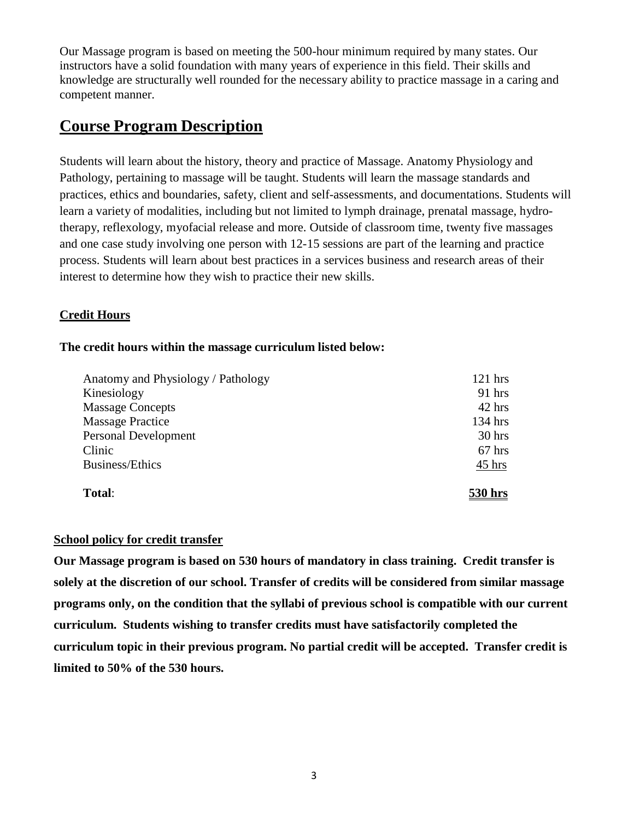Our Massage program is based on meeting the 500-hour minimum required by many states. Our instructors have a solid foundation with many years of experience in this field. Their skills and knowledge are structurally well rounded for the necessary ability to practice massage in a caring and competent manner.

## **Course Program Description**

Students will learn about the history, theory and practice of Massage. Anatomy Physiology and Pathology, pertaining to massage will be taught. Students will learn the massage standards and practices, ethics and boundaries, safety, client and self-assessments, and documentations. Students will learn a variety of modalities, including but not limited to lymph drainage, prenatal massage, hydrotherapy, reflexology, myofacial release and more. Outside of classroom time, twenty five massages and one case study involving one person with 12-15 sessions are part of the learning and practice process. Students will learn about best practices in a services business and research areas of their interest to determine how they wish to practice their new skills.

#### **Credit Hours**

#### **The credit hours within the massage curriculum listed below:**

| Anatomy and Physiology / Pathology | $121$ hrs        |
|------------------------------------|------------------|
| Kinesiology                        | $91$ hrs         |
| <b>Massage Concepts</b>            | $42$ hrs         |
| <b>Massage Practice</b>            | $134$ hrs        |
| Personal Development               | $30$ hrs         |
| Clinic                             | $67$ hrs         |
| Business/Ethics                    | $45 \text{ hrs}$ |
| Total:                             | 530 hrs          |

#### **School policy for credit transfer**

**Our Massage program is based on 530 hours of mandatory in class training. Credit transfer is solely at the discretion of our school. Transfer of credits will be considered from similar massage programs only, on the condition that the syllabi of previous school is compatible with our current curriculum. Students wishing to transfer credits must have satisfactorily completed the curriculum topic in their previous program. No partial credit will be accepted. Transfer credit is limited to 50% of the 530 hours.**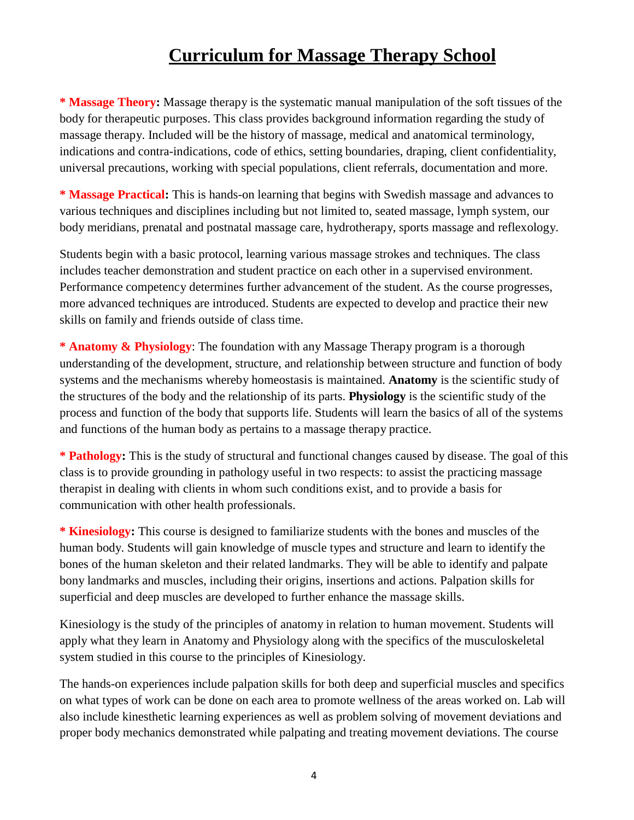## **Curriculum for Massage Therapy School**

**\* Massage Theory:** Massage therapy is the systematic manual manipulation of the soft tissues of the body for therapeutic purposes. This class provides background information regarding the study of massage therapy. Included will be the history of massage, medical and anatomical terminology, indications and contra-indications, code of ethics, setting boundaries, draping, client confidentiality, universal precautions, working with special populations, client referrals, documentation and more.

**\* Massage Practical:** This is hands-on learning that begins with Swedish massage and advances to various techniques and disciplines including but not limited to, seated massage, lymph system, our body meridians, prenatal and postnatal massage care, hydrotherapy, sports massage and reflexology.

Students begin with a basic protocol, learning various massage strokes and techniques. The class includes teacher demonstration and student practice on each other in a supervised environment. Performance competency determines further advancement of the student. As the course progresses, more advanced techniques are introduced. Students are expected to develop and practice their new skills on family and friends outside of class time.

**\* Anatomy & Physiology**: The foundation with any Massage Therapy program is a thorough understanding of the development, structure, and relationship between structure and function of body systems and the mechanisms whereby homeostasis is maintained. **Anatomy** is the scientific study of the structures of the body and the relationship of its parts. **Physiology** is the scientific study of the process and function of the body that supports life. Students will learn the basics of all of the systems and functions of the human body as pertains to a massage therapy practice.

**\* Pathology:** This is the study of structural and functional changes caused by disease. The goal of this class is to provide grounding in pathology useful in two respects: to assist the practicing massage therapist in dealing with clients in whom such conditions exist, and to provide a basis for communication with other health professionals.

**\* Kinesiology:** This course is designed to familiarize students with the bones and muscles of the human body. Students will gain knowledge of muscle types and structure and learn to identify the bones of the human skeleton and their related landmarks. They will be able to identify and palpate bony landmarks and muscles, including their origins, insertions and actions. Palpation skills for superficial and deep muscles are developed to further enhance the massage skills.

Kinesiology is the study of the principles of anatomy in relation to human movement. Students will apply what they learn in Anatomy and Physiology along with the specifics of the musculoskeletal system studied in this course to the principles of Kinesiology.

The hands-on experiences include palpation skills for both deep and superficial muscles and specifics on what types of work can be done on each area to promote wellness of the areas worked on. Lab will also include kinesthetic learning experiences as well as problem solving of movement deviations and proper body mechanics demonstrated while palpating and treating movement deviations. The course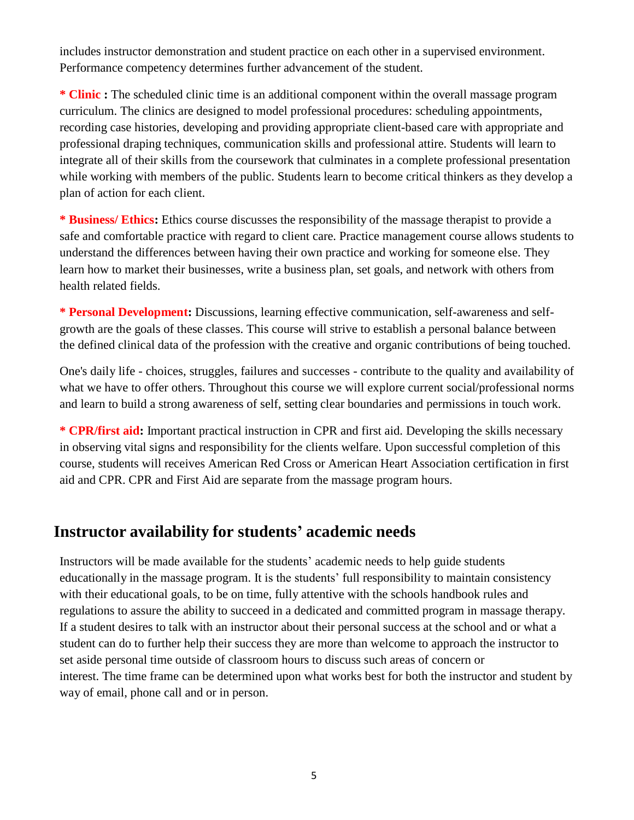includes instructor demonstration and student practice on each other in a supervised environment. Performance competency determines further advancement of the student.

**\* Clinic :** The scheduled clinic time is an additional component within the overall massage program curriculum. The clinics are designed to model professional procedures: scheduling appointments, recording case histories, developing and providing appropriate client-based care with appropriate and professional draping techniques, communication skills and professional attire. Students will learn to integrate all of their skills from the coursework that culminates in a complete professional presentation while working with members of the public. Students learn to become critical thinkers as they develop a plan of action for each client.

**\* Business/ Ethics:** Ethics course discusses the responsibility of the massage therapist to provide a safe and comfortable practice with regard to client care. Practice management course allows students to understand the differences between having their own practice and working for someone else. They learn how to market their businesses, write a business plan, set goals, and network with others from health related fields.

**\* Personal Development:** Discussions, learning effective communication, self-awareness and selfgrowth are the goals of these classes. This course will strive to establish a personal balance between the defined clinical data of the profession with the creative and organic contributions of being touched.

One's daily life - choices, struggles, failures and successes - contribute to the quality and availability of what we have to offer others. Throughout this course we will explore current social/professional norms and learn to build a strong awareness of self, setting clear boundaries and permissions in touch work.

**\* CPR/first aid:** Important practical instruction in CPR and first aid. Developing the skills necessary in observing vital signs and responsibility for the clients welfare. Upon successful completion of this course, students will receives American Red Cross or American Heart Association certification in first aid and CPR. CPR and First Aid are separate from the massage program hours.

## **Instructor availability for students' academic needs**

Instructors will be made available for the students' academic needs to help guide students educationally in the massage program. It is the students' full responsibility to maintain consistency with their educational goals, to be on time, fully attentive with the schools handbook rules and regulations to assure the ability to succeed in a dedicated and committed program in massage therapy. If a student desires to talk with an instructor about their personal success at the school and or what a student can do to further help their success they are more than welcome to approach the instructor to set aside personal time outside of classroom hours to discuss such areas of concern or interest. The time frame can be determined upon what works best for both the instructor and student by way of email, phone call and or in person.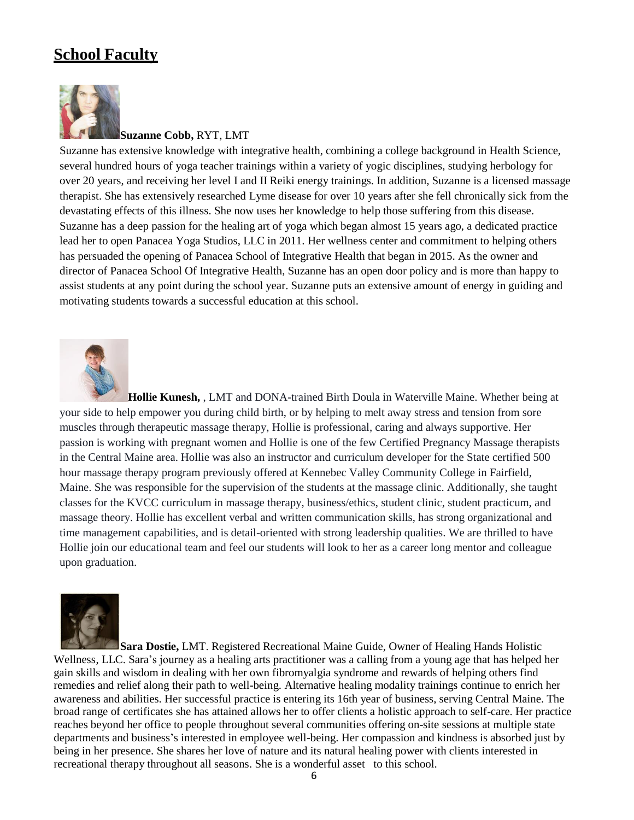## **School Faculty**



#### **Suzanne Cobb,** RYT, LMT

Suzanne has extensive knowledge with integrative health, combining a college background in Health Science, several hundred hours of yoga teacher trainings within a variety of yogic disciplines, studying herbology for over 20 years, and receiving her level I and II Reiki energy trainings. In addition, Suzanne is a licensed massage therapist. She has extensively researched Lyme disease for over 10 years after she fell chronically sick from the devastating effects of this illness. She now uses her knowledge to help those suffering from this disease. Suzanne has a deep passion for the healing art of yoga which began almost 15 years ago, a dedicated practice lead her to open Panacea Yoga Studios, LLC in 2011. Her wellness center and commitment to helping others has persuaded the opening of Panacea School of Integrative Health that began in 2015. As the owner and director of Panacea School Of Integrative Health, Suzanne has an open door policy and is more than happy to assist students at any point during the school year. Suzanne puts an extensive amount of energy in guiding and motivating students towards a successful education at this school.



**Hollie Kunesh,** , LMT and DONA-trained Birth Doula in Waterville Maine. Whether being at your side to help empower you during child birth, or by helping to melt away stress and tension from sore muscles through therapeutic massage therapy, Hollie is professional, caring and always supportive. Her passion is working with pregnant women and Hollie is one of the few Certified Pregnancy Massage therapists in the Central Maine area. Hollie was also an instructor and curriculum developer for the State certified 500 hour massage therapy program previously offered at Kennebec Valley Community College in Fairfield, Maine. She was responsible for the supervision of the students at the massage clinic. Additionally, she taught classes for the KVCC curriculum in massage therapy, business/ethics, student clinic, student practicum, and massage theory. Hollie has excellent verbal and written communication skills, has strong organizational and time management capabilities, and is detail-oriented with strong leadership qualities. We are thrilled to have Hollie join our educational team and feel our students will look to her as a career long mentor and colleague upon graduation.



**Sara Dostie,** LMT. Registered Recreational Maine Guide, Owner of Healing Hands Holistic Wellness, LLC. Sara's journey as a healing arts practitioner was a calling from a young age that has helped her gain skills and wisdom in dealing with her own fibromyalgia syndrome and rewards of helping others find remedies and relief along their path to well-being. Alternative healing modality trainings continue to enrich her awareness and abilities. Her successful practice is entering its 16th year of business, serving Central Maine. The broad range of certificates she has attained allows her to offer clients a holistic approach to self-care. Her practice reaches beyond her office to people throughout several communities offering on-site sessions at multiple state departments and business's interested in employee well-being. Her compassion and kindness is absorbed just by being in her presence. She shares her love of nature and its natural healing power with clients interested in recreational therapy throughout all seasons. She is a wonderful asset to this school.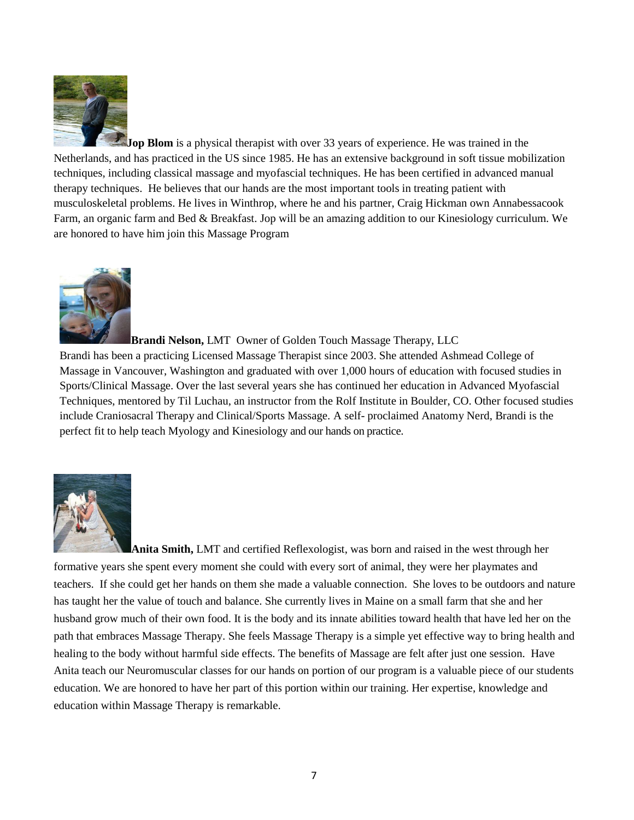

**Jop Blom** is a physical therapist with over 33 years of experience. He was trained in the Netherlands, and has practiced in the US since 1985. He has an extensive background in soft tissue mobilization techniques, including classical massage and myofascial techniques. He has been certified in advanced manual therapy techniques. He believes that our hands are the most important tools in treating patient with musculoskeletal problems. He lives in Winthrop, where he and his partner, Craig Hickman own Annabessacook Farm, an organic farm and Bed & Breakfast. Jop will be an amazing addition to our Kinesiology curriculum. We are honored to have him join this Massage Program



**Brandi Nelson,** LMT Owner of Golden Touch Massage Therapy, LLC

Brandi has been a practicing Licensed Massage Therapist since 2003. She attended Ashmead College of Massage in Vancouver, Washington and graduated with over 1,000 hours of education with focused studies in Sports/Clinical Massage. Over the last several years she has continued her education in Advanced Myofascial Techniques, mentored by Til Luchau, an instructor from the Rolf Institute in Boulder, CO. Other focused studies include Craniosacral Therapy and Clinical/Sports Massage. A self- proclaimed Anatomy Nerd, Brandi is the perfect fit to help teach Myology and Kinesiology and our hands on practice.



**Anita Smith,** LMT and certified Reflexologist, was born and raised in the west through her formative years she spent every moment she could with every sort of animal, they were her playmates and teachers. If she could get her hands on them she made a valuable connection. She loves to be outdoors and nature has taught her the value of touch and balance. She currently lives in Maine on a small farm that she and her husband grow much of their own food. It is the body and its innate abilities toward health that have led her on the path that embraces Massage Therapy. She feels Massage Therapy is a simple yet effective way to bring health and healing to the body without harmful side effects. The benefits of Massage are felt after just one session. Have Anita teach our Neuromuscular classes for our hands on portion of our program is a valuable piece of our students education. We are honored to have her part of this portion within our training. Her expertise, knowledge and education within Massage Therapy is remarkable.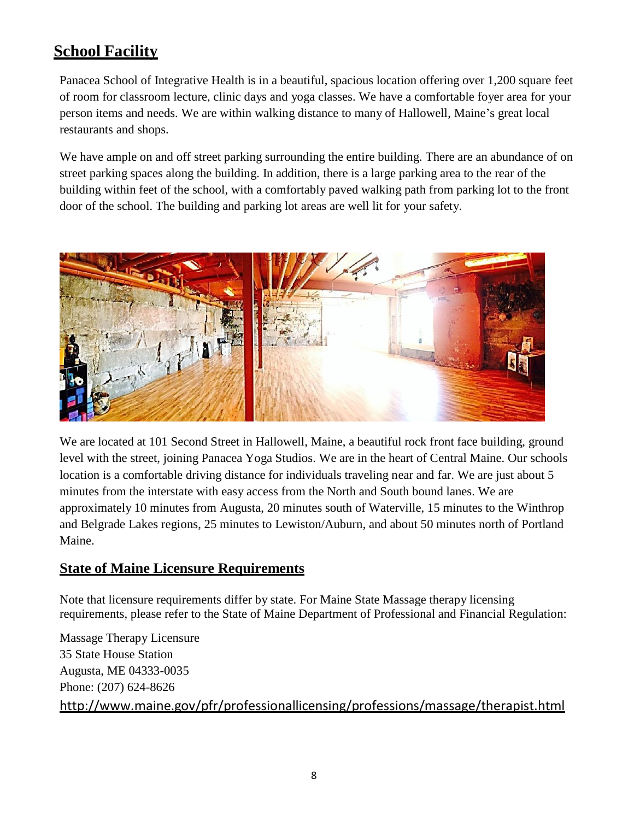## **School Facility**

Panacea School of Integrative Health is in a beautiful, spacious location offering over 1,200 square feet of room for classroom lecture, clinic days and yoga classes. We have a comfortable foyer area for your person items and needs. We are within walking distance to many of Hallowell, Maine's great local restaurants and shops.

We have ample on and off street parking surrounding the entire building. There are an abundance of on street parking spaces along the building. In addition, there is a large parking area to the rear of the building within feet of the school, with a comfortably paved walking path from parking lot to the front door of the school. The building and parking lot areas are well lit for your safety.



We are located at 101 Second Street in Hallowell, Maine, a beautiful rock front face building, ground level with the street, joining Panacea Yoga Studios. We are in the heart of Central Maine. Our schools location is a comfortable driving distance for individuals traveling near and far. We are just about 5 minutes from the interstate with easy access from the North and South bound lanes. We are approximately 10 minutes from Augusta, 20 minutes south of Waterville, 15 minutes to the Winthrop and Belgrade Lakes regions, 25 minutes to Lewiston/Auburn, and about 50 minutes north of Portland Maine.

#### **State of Maine Licensure Requirements**

Note that licensure requirements differ by state. For Maine State Massage therapy licensing requirements, please refer to the State of Maine Department of Professional and Financial Regulation:

Massage Therapy Licensure 35 State House Station Augusta, ME 04333-0035 Phone: (207) 624-8626 <http://www.maine.gov/pfr/professionallicensing/professions/massage/therapist.html>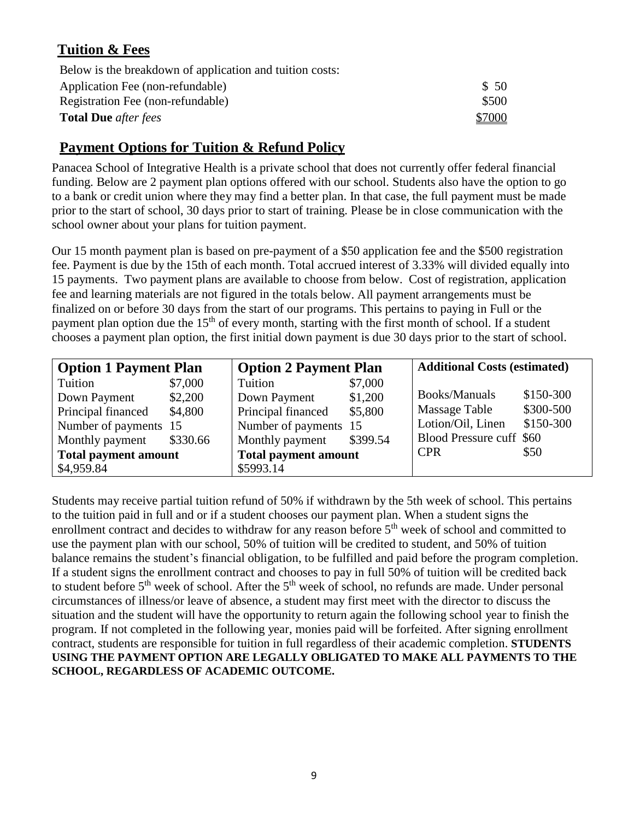## **Tuition & Fees**

| Below is the breakdown of application and tuition costs: |        |
|----------------------------------------------------------|--------|
| Application Fee (non-refundable)                         | \$ 50  |
| Registration Fee (non-refundable)                        | \$500  |
| <b>Total Due</b> after fees                              | \$7000 |

## **Payment Options for Tuition & Refund Policy**

Panacea School of Integrative Health is a private school that does not currently offer federal financial funding. Below are 2 payment plan options offered with our school. Students also have the option to go to a bank or credit union where they may find a better plan. In that case, the full payment must be made prior to the start of school, 30 days prior to start of training. Please be in close communication with the school owner about your plans for tuition payment.

Our 15 month payment plan is based on pre-payment of a \$50 application fee and the \$500 registration fee. Payment is due by the 15th of each month. Total accrued interest of 3.33% will divided equally into 15 payments. Two payment plans are available to choose from below. Cost of registration, application fee and learning materials are not figured in the totals below. All payment arrangements must be finalized on or before 30 days from the start of our programs. This pertains to paying in Full or the payment plan option due the 15<sup>th</sup> of every month, starting with the first month of school. If a student chooses a payment plan option, the first initial down payment is due 30 days prior to the start of school.

| <b>Option 1 Payment Plan</b> |          | <b>Option 2 Payment Plan</b> |          | <b>Additional Costs (estimated)</b> |           |
|------------------------------|----------|------------------------------|----------|-------------------------------------|-----------|
| Tuition                      | \$7,000  | Tuition                      | \$7,000  |                                     |           |
| Down Payment                 | \$2,200  | Down Payment                 | \$1,200  | <b>Books/Manuals</b>                | \$150-300 |
| Principal financed           | \$4,800  | Principal financed           | \$5,800  | Massage Table                       | \$300-500 |
| Number of payments 15        |          | Number of payments 15        |          | Lotion/Oil, Linen                   | \$150-300 |
| Monthly payment              | \$330.66 | Monthly payment              | \$399.54 | Blood Pressure cuff \$60            |           |
| <b>Total payment amount</b>  |          | <b>Total payment amount</b>  |          | <b>CPR</b>                          | \$50      |
| \$4,959.84                   |          | \$5993.14                    |          |                                     |           |

Students may receive partial tuition refund of 50% if withdrawn by the 5th week of school. This pertains to the tuition paid in full and or if a student chooses our payment plan. When a student signs the enrollment contract and decides to withdraw for any reason before 5<sup>th</sup> week of school and committed to use the payment plan with our school, 50% of tuition will be credited to student, and 50% of tuition balance remains the student's financial obligation, to be fulfilled and paid before the program completion. If a student signs the enrollment contract and chooses to pay in full 50% of tuition will be credited back to student before 5<sup>th</sup> week of school. After the 5<sup>th</sup> week of school, no refunds are made. Under personal circumstances of illness/or leave of absence, a student may first meet with the director to discuss the situation and the student will have the opportunity to return again the following school year to finish the program. If not completed in the following year, monies paid will be forfeited. After signing enrollment contract, students are responsible for tuition in full regardless of their academic completion. **STUDENTS USING THE PAYMENT OPTION ARE LEGALLY OBLIGATED TO MAKE ALL PAYMENTS TO THE SCHOOL, REGARDLESS OF ACADEMIC OUTCOME.**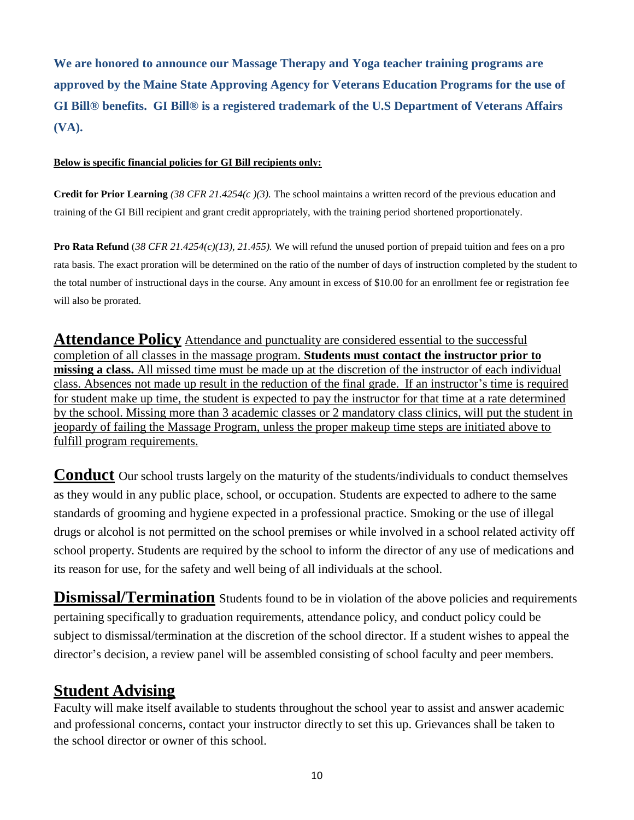**We are honored to announce our Massage Therapy and Yoga teacher training programs are approved by the Maine State Approving Agency for Veterans Education Programs for the use of GI Bill® benefits. GI Bill® is a registered trademark of the U.S Department of Veterans Affairs (VA).** 

#### **Below is specific financial policies for GI Bill recipients only:**

**Credit for Prior Learning** *(38 CFR 21.4254(c )(3).* The school maintains a written record of the previous education and training of the GI Bill recipient and grant credit appropriately, with the training period shortened proportionately.

**Pro Rata Refund** (*38 CFR 21.4254(c)(13), 21.455).* We will refund the unused portion of prepaid tuition and fees on a pro rata basis. The exact proration will be determined on the ratio of the number of days of instruction completed by the student to the total number of instructional days in the course. Any amount in excess of \$10.00 for an enrollment fee or registration fee will also be prorated.

**Attendance Policy** Attendance and punctuality are considered essential to the successful completion of all classes in the massage program. **Students must contact the instructor prior to missing a class.** All missed time must be made up at the discretion of the instructor of each individual class. Absences not made up result in the reduction of the final grade. If an instructor's time is required for student make up time, the student is expected to pay the instructor for that time at a rate determined by the school. Missing more than 3 academic classes or 2 mandatory class clinics, will put the student in jeopardy of failing the Massage Program, unless the proper makeup time steps are initiated above to fulfill program requirements.

**Conduct** Our school trusts largely on the maturity of the students/individuals to conduct themselves as they would in any public place, school, or occupation. Students are expected to adhere to the same standards of grooming and hygiene expected in a professional practice. Smoking or the use of illegal drugs or alcohol is not permitted on the school premises or while involved in a school related activity off school property. Students are required by the school to inform the director of any use of medications and its reason for use, for the safety and well being of all individuals at the school.

**Dismissal/Termination** Students found to be in violation of the above policies and requirements pertaining specifically to graduation requirements, attendance policy, and conduct policy could be subject to dismissal/termination at the discretion of the school director. If a student wishes to appeal the director's decision, a review panel will be assembled consisting of school faculty and peer members.

## **Student Advising**

Faculty will make itself available to students throughout the school year to assist and answer academic and professional concerns, contact your instructor directly to set this up. Grievances shall be taken to the school director or owner of this school.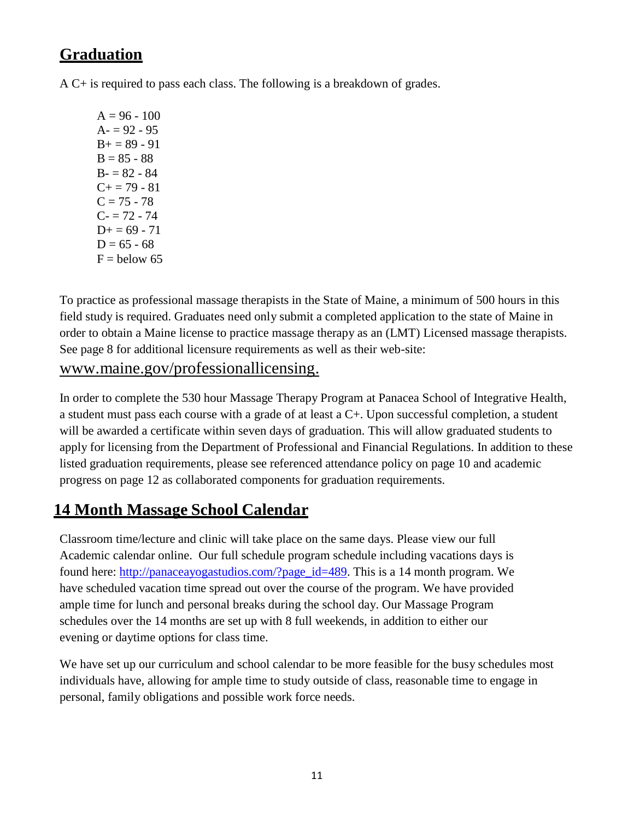## **Graduation**

A C+ is required to pass each class. The following is a breakdown of grades.

 $A = 96 - 100$  $A = 92 - 95$  $B_+ = 89 - 91$  $B = 85 - 88$  $B - 82 - 84$  $C+=79-81$  $C = 75 - 78$  $C - 72 - 74$  $D+= 69 - 71$  $D = 65 - 68$  $F =$  below 65

To practice as professional massage therapists in the State of Maine, a minimum of 500 hours in this field study is required. Graduates need only submit a completed application to the state of Maine in order to obtain a Maine license to practice massage therapy as an (LMT) Licensed massage therapists. See page 8 for additional licensure requirements as well as their web-site:

## [www.maine.gov/professionallicensing.](http://www.maine.gov/professionallicensing)

In order to complete the 530 hour Massage Therapy Program at Panacea School of Integrative Health, a student must pass each course with a grade of at least a C+. Upon successful completion, a student will be awarded a certificate within seven days of graduation. This will allow graduated students to apply for licensing from the Department of Professional and Financial Regulations. In addition to these listed graduation requirements, please see referenced attendance policy on page 10 and academic progress on page 12 as collaborated components for graduation requirements.

## **14 Month Massage School Calendar**

Classroom time/lecture and clinic will take place on the same days. Please view our full Academic calendar online. Our full schedule program schedule including vacations days is found here: [http://panaceayogastudios.com/?page\\_id=489.](http://panaceayogastudios.com/?page_id=489) This is a 14 month program. We have scheduled vacation time spread out over the course of the program. We have provided ample time for lunch and personal breaks during the school day. Our Massage Program schedules over the 14 months are set up with 8 full weekends, in addition to either our evening or daytime options for class time.

We have set up our curriculum and school calendar to be more feasible for the busy schedules most individuals have, allowing for ample time to study outside of class, reasonable time to engage in personal, family obligations and possible work force needs.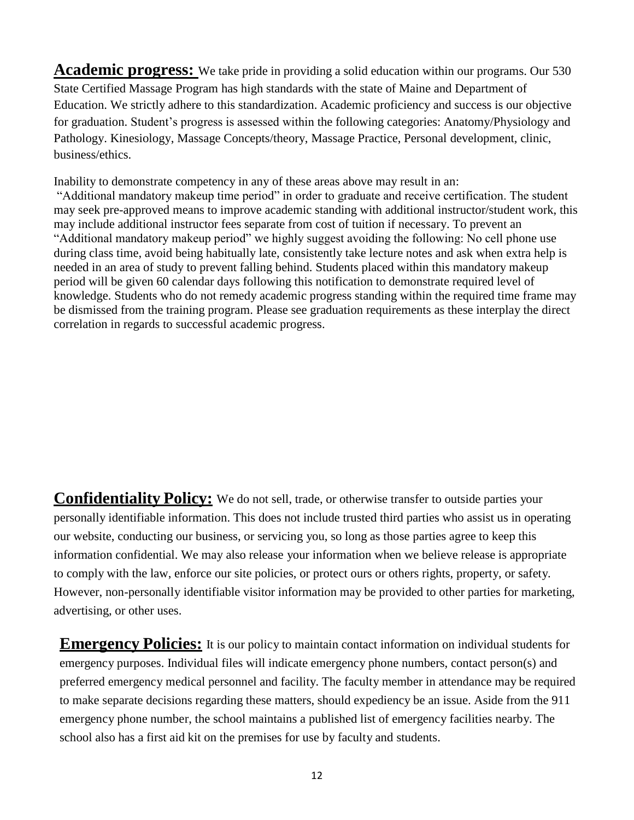**Academic progress:** We take pride in providing a solid education within our programs. Our 530 State Certified Massage Program has high standards with the state of Maine and Department of Education. We strictly adhere to this standardization. Academic proficiency and success is our objective for graduation. Student's progress is assessed within the following categories: Anatomy/Physiology and Pathology. Kinesiology, Massage Concepts/theory, Massage Practice, Personal development, clinic, business/ethics.

Inability to demonstrate competency in any of these areas above may result in an:

"Additional mandatory makeup time period" in order to graduate and receive certification. The student may seek pre-approved means to improve academic standing with additional instructor/student work, this may include additional instructor fees separate from cost of tuition if necessary. To prevent an "Additional mandatory makeup period" we highly suggest avoiding the following: No cell phone use during class time, avoid being habitually late, consistently take lecture notes and ask when extra help is needed in an area of study to prevent falling behind. Students placed within this mandatory makeup period will be given 60 calendar days following this notification to demonstrate required level of knowledge. Students who do not remedy academic progress standing within the required time frame may be dismissed from the training program. Please see graduation requirements as these interplay the direct correlation in regards to successful academic progress.

**Confidentiality Policy:** We do not sell, trade, or otherwise transfer to outside parties your personally identifiable information. This does not include trusted third parties who assist us in operating our website, conducting our business, or servicing you, so long as those parties agree to keep this information confidential. We may also release your information when we believe release is appropriate to comply with the law, enforce our site policies, or protect ours or others rights, property, or safety. However, non-personally identifiable visitor information may be provided to other parties for marketing, advertising, or other uses.

**Emergency Policies:** It is our policy to maintain contact information on individual students for emergency purposes. Individual files will indicate emergency phone numbers, contact person(s) and preferred emergency medical personnel and facility. The faculty member in attendance may be required to make separate decisions regarding these matters, should expediency be an issue. Aside from the 911 emergency phone number, the school maintains a published list of emergency facilities nearby. The school also has a first aid kit on the premises for use by faculty and students.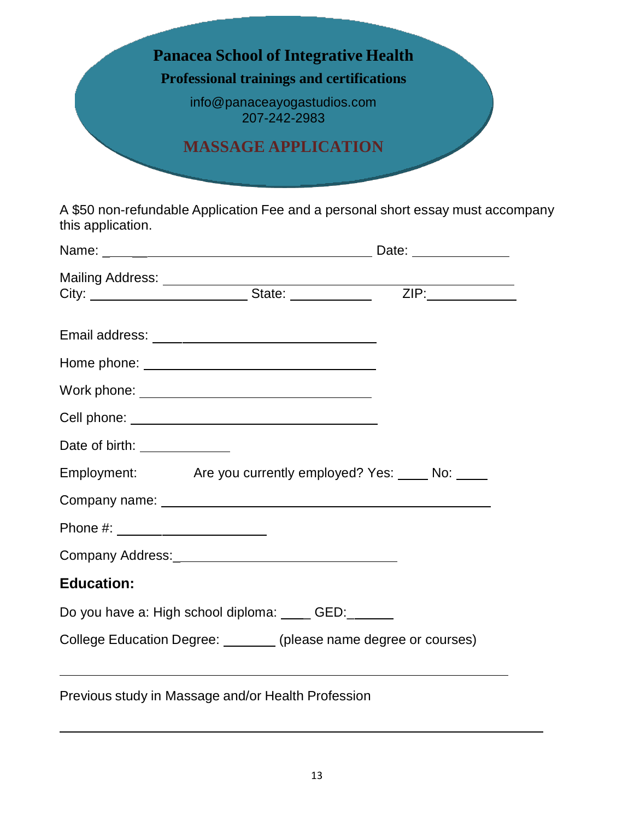

A \$50 non-refundable Application Fee and a personal short essay must accompany this application.

| Date of birth: _____________                                       |  |
|--------------------------------------------------------------------|--|
| Employment: Are you currently employed? Yes: No: No:               |  |
|                                                                    |  |
| Phone #: _______________________                                   |  |
|                                                                    |  |
| <b>Education:</b>                                                  |  |
| Do you have a: High school diploma: ____ GED:_____                 |  |
| College Education Degree: ________ (please name degree or courses) |  |
| Previous study in Massage and/or Health Profession                 |  |